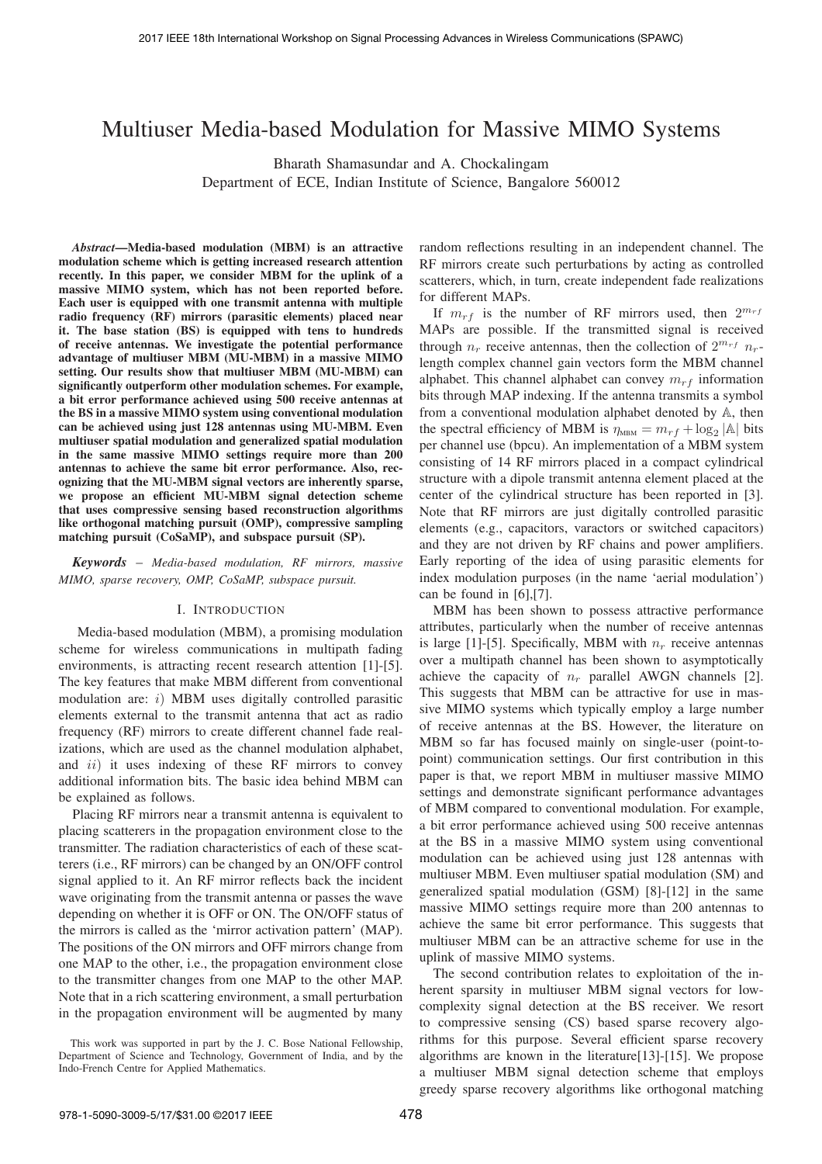# Multiuser Media-based Modulation for Massive MIMO Systems

Bharath Shamasundar and A. Chockalingam Department of ECE, Indian Institute of Science, Bangalore 560012

*Abstract***—Media-based modulation (MBM) is an attractive modulation scheme which is getting increased research attention recently. In this paper, we consider MBM for the uplink of a massive MIMO system, which has not been reported before. Each user is equipped with one transmit antenna with multiple radio frequency (RF) mirrors (parasitic elements) placed near it. The base station (BS) is equipped with tens to hundreds of receive antennas. We investigate the potential performance advantage of multiuser MBM (MU-MBM) in a massive MIMO setting. Our results show that multiuser MBM (MU-MBM) can significantly outperform other modulation schemes. For example, a bit error performance achieved using 500 receive antennas at the BS in a massive MIMO system using conventional modulation can be achieved using just 128 antennas using MU-MBM. Even multiuser spatial modulation and generalized spatial modulation in the same massive MIMO settings require more than 200 antennas to achieve the same bit error performance. Also, recognizing that the MU-MBM signal vectors are inherently sparse, we propose an efficient MU-MBM signal detection scheme that uses compressive sensing based reconstruction algorithms like orthogonal matching pursuit (OMP), compressive sampling matching pursuit (CoSaMP), and subspace pursuit (SP).**

*Keywords* – *Media-based modulation, RF mirrors, massive MIMO, sparse recovery, OMP, CoSaMP, subspace pursuit.*

## I. INTRODUCTION

Media-based modulation (MBM), a promising modulation scheme for wireless communications in multipath fading environments, is attracting recent research attention [1]-[5]. The key features that make MBM different from conventional modulation are:  $i)$  MBM uses digitally controlled parasitic elements external to the transmit antenna that act as radio frequency (RF) mirrors to create different channel fade realizations, which are used as the channel modulation alphabet, and  $ii$ ) it uses indexing of these RF mirrors to convey additional information bits. The basic idea behind MBM can be explained as follows.

Placing RF mirrors near a transmit antenna is equivalent to placing scatterers in the propagation environment close to the transmitter. The radiation characteristics of each of these scatterers (i.e., RF mirrors) can be changed by an ON/OFF control signal applied to it. An RF mirror reflects back the incident wave originating from the transmit antenna or passes the wave depending on whether it is OFF or ON. The ON/OFF status of the mirrors is called as the 'mirror activation pattern' (MAP). The positions of the ON mirrors and OFF mirrors change from one MAP to the other, i.e., the propagation environment close to the transmitter changes from one MAP to the other MAP. Note that in a rich scattering environment, a small perturbation in the propagation environment will be augmented by many

random reflections resulting in an independent channel. The RF mirrors create such perturbations by acting as controlled scatterers, which, in turn, create independent fade realizations for different MAPs.

If  $m_{rf}$  is the number of RF mirrors used, then  $2^{m_{rf}}$ MAPs are possible. If the transmitted signal is received through  $n_r$  receive antennas, then the collection of  $2^{m_{rf}} n_r$ length complex channel gain vectors form the MBM channel alphabet. This channel alphabet can convey  $m_{rf}$  information bits through MAP indexing. If the antenna transmits a symbol from a conventional modulation alphabet denoted by  $A$ , then the spectral efficiency of MBM is  $\eta_{\text{MBM}} = m_{rf} + \log_2 |\mathbb{A}|$  bits per channel use (bpcu). An implementation of a MBM system consisting of 14 RF mirrors placed in a compact cylindrical structure with a dipole transmit antenna element placed at the center of the cylindrical structure has been reported in [3]. Note that RF mirrors are just digitally controlled parasitic elements (e.g., capacitors, varactors or switched capacitors) and they are not driven by RF chains and power amplifiers. Early reporting of the idea of using parasitic elements for index modulation purposes (in the name 'aerial modulation') can be found in [6],[7].

MBM has been shown to possess attractive performance attributes, particularly when the number of receive antennas is large [1]-[5]. Specifically, MBM with  $n_r$  receive antennas over a multipath channel has been shown to asymptotically achieve the capacity of  $n_r$  parallel AWGN channels [2]. This suggests that MBM can be attractive for use in massive MIMO systems which typically employ a large number of receive antennas at the BS. However, the literature on MBM so far has focused mainly on single-user (point-topoint) communication settings. Our first contribution in this paper is that, we report MBM in multiuser massive MIMO settings and demonstrate significant performance advantages of MBM compared to conventional modulation. For example, a bit error performance achieved using 500 receive antennas at the BS in a massive MIMO system using conventional modulation can be achieved using just 128 antennas with multiuser MBM. Even multiuser spatial modulation (SM) and generalized spatial modulation (GSM) [8]-[12] in the same massive MIMO settings require more than 200 antennas to achieve the same bit error performance. This suggests that multiuser MBM can be an attractive scheme for use in the uplink of massive MIMO systems.

The second contribution relates to exploitation of the inherent sparsity in multiuser MBM signal vectors for lowcomplexity signal detection at the BS receiver. We resort to compressive sensing (CS) based sparse recovery algorithms for this purpose. Several efficient sparse recovery algorithms are known in the literature[13]-[15]. We propose a multiuser MBM signal detection scheme that employs greedy sparse recovery algorithms like orthogonal matching

This work was supported in part by the J. C. Bose National Fellowship, Department of Science and Technology, Government of India, and by the Indo-French Centre for Applied Mathematics.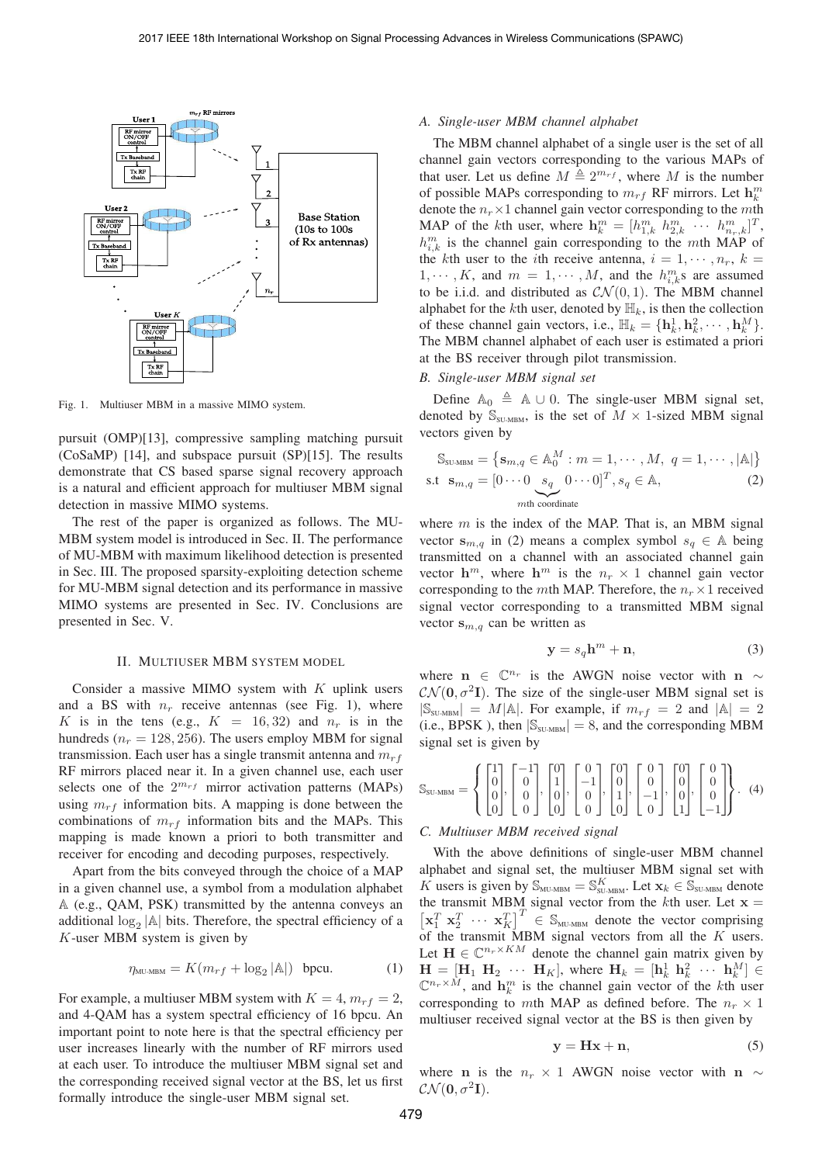

Fig. 1. Multiuser MBM in a massive MIMO system.

pursuit (OMP)[13], compressive sampling matching pursuit (CoSaMP) [14], and subspace pursuit (SP)[15]. The results demonstrate that CS based sparse signal recovery approach is a natural and efficient approach for multiuser MBM signal detection in massive MIMO systems.

The rest of the paper is organized as follows. The MU-MBM system model is introduced in Sec. II. The performance of MU-MBM with maximum likelihood detection is presented in Sec. III. The proposed sparsity-exploiting detection scheme for MU-MBM signal detection and its performance in massive MIMO systems are presented in Sec. IV. Conclusions are presented in Sec. V.

#### II. MULTIUSER MBM SYSTEM MODEL

Consider a massive MIMO system with  $K$  uplink users and a BS with  $n_r$  receive antennas (see Fig. 1), where K is in the tens (e.g.,  $K = 16,32$ ) and  $n_r$  is in the hundreds ( $n_r = 128, 256$ ). The users employ MBM for signal transmission. Each user has a single transmit antenna and  $m_{rf}$ RF mirrors placed near it. In a given channel use, each user selects one of the  $2^{m_{rf}}$  mirror activation patterns (MAPs) using  $m_{rf}$  information bits. A mapping is done between the combinations of  $m_{rf}$  information bits and the MAPs. This mapping is made known a priori to both transmitter and receiver for encoding and decoding purposes, respectively.

Apart from the bits conveyed through the choice of a MAP in a given channel use, a symbol from a modulation alphabet (e.g., QAM, PSK) transmitted by the antenna conveys an additional  $log_2 |\mathbb{A}|$  bits. Therefore, the spectral efficiency of a  $K$ -user MBM system is given by

$$
\eta_{\text{MU-MBM}} = K(m_{rf} + \log_2 |\mathbb{A}|) \text{ bpcu.}
$$
 (1)

For example, a multiuser MBM system with  $K = 4$ ,  $m_{rf} = 2$ , and 4-QAM has a system spectral efficiency of 16 bpcu. An important point to note here is that the spectral efficiency per user increases linearly with the number of RF mirrors used at each user. To introduce the multiuser MBM signal set and the corresponding received signal vector at the BS, let us first formally introduce the single-user MBM signal set.

### *A. Single-user MBM channel alphabet*

The MBM channel alphabet of a single user is the set of all channel gain vectors corresponding to the various MAPs of that user. Let us define  $M \triangleq 2^{m_{rf}}$ , where M is the number of possible MAPs corresponding to  $m_{rf}$  RF mirrors. Let  $\mathbf{h}_k^m$ denote the  $n_r \times 1$  channel gain vector corresponding to the mth MAP of the kth user, where  $\mathbf{h}_k^m = [h_{1,k}^m \; h_{2,k}^m \; \cdots \; h_{n_r,k}^m]^T$ ,  $h_{i,k}^m$  is the channel gain corresponding to the mth MAP of the kth user to the *i*th receive antenna,  $i = 1, \dots, n_r$ ,  $k =$  $1, \dots, K$ , and  $m = 1, \dots, M$ , and the  $h_{i,k}^m$ s are assumed to be i.i.d. and distributed as  $\mathcal{CN}(0, 1)$ . The MBM channel alphabet for the kth user, denoted by  $\mathbb{H}_k$ , is then the collection of these channel gain vectors, i.e.,  $\mathbb{H}_k = {\mathbf{h}_k^1, \mathbf{h}_k^2, \cdots, \mathbf{h}_k^M}$ . The MBM channel alphabet of each user is estimated a priori at the BS receiver through pilot transmission.

### *B. Single-user MBM signal set*

Define  $\mathbb{A}_0 \triangleq \mathbb{A} \cup 0$ . The single-user MBM signal set, denoted by  $\mathbb{S}_{\text{SU-MBM}}$ , is the set of  $M \times 1$ -sized MBM signal vectors given by

$$
\mathbb{S}_{\text{SULMBM}} = \left\{ \mathbf{s}_{m,q} \in \mathbb{A}_{0}^{M} : m = 1, \cdots, M, q = 1, \cdots, |\mathbb{A}| \right\}
$$
  
s.t  $\mathbf{s}_{m,q} = [0 \cdots 0 \underbrace{s_{q}}_{m\text{th coordinate}} 0 \cdots 0]^T, s_{q} \in \mathbb{A},$  (2)

where  $m$  is the index of the MAP. That is, an MBM signal vector  $\mathbf{s}_{m,q}$  in (2) means a complex symbol  $s_q \in A$  being transmitted on a channel with an associated channel gain vector  $h^m$ , where  $h^m$  is the  $n_r \times 1$  channel gain vector corresponding to the  $m$ th MAP. Therefore, the  $n_r \times 1$  received signal vector corresponding to a transmitted MBM signal vector  $\mathbf{s}_{m,q}$  can be written as

$$
y = s_q h^m + n,\t\t(3)
$$

where **n** ∈  $\mathbb{C}^{n_r}$  is the AWGN noise vector with **n**  $\sim$  $\mathcal{CN}(\mathbf{0}, \sigma^2 \mathbf{I})$ . The size of the single-user MBM signal set is  $|\mathbb{S}_{\text{SUMBM}}| = M|\mathbb{A}|$ . For example, if  $m_{rf} = 2$  and  $|\mathbb{A}| = 2$ (i.e., BPSK), then  $|\mathbb{S}_{\text{SU-MBM}}| = 8$ , and the corresponding MBM signal set is given by

$$
\mathbb{S}_{\text{SU-MBM}} = \left\{ \begin{bmatrix} 1 \\ 0 \\ 0 \\ 0 \end{bmatrix}, \begin{bmatrix} -1 \\ 0 \\ 0 \\ 0 \end{bmatrix}, \begin{bmatrix} 0 \\ 1 \\ 0 \\ 0 \end{bmatrix}, \begin{bmatrix} 0 \\ -1 \\ 0 \\ 0 \end{bmatrix}, \begin{bmatrix} 0 \\ 0 \\ 1 \\ 0 \end{bmatrix}, \begin{bmatrix} 0 \\ 0 \\ -1 \\ 0 \end{bmatrix}, \begin{bmatrix} 0 \\ 0 \\ 0 \\ 1 \end{bmatrix}, \begin{bmatrix} 0 \\ 0 \\ 0 \\ -1 \end{bmatrix} \right\}. (4)
$$

## *C. Multiuser MBM received signal*

With the above definitions of single-user MBM channel alphabet and signal set, the multiuser MBM signal set with K users is given by  $\mathcal{S}_{_{\text{MU-MBM}}} = \mathcal{S}_{_{\text{SU-MBM}}}^K$ . Let  $\mathbf{x}_k \in \mathcal{S}_{_{\text{SU-MBM}}}$  denote the transmit MBM signal vector from the kth user. Let  $x =$  $\begin{bmatrix} \mathbf{x}_1^T & \mathbf{x}_2^T & \cdots & \mathbf{x}_K^T \end{bmatrix}^T \in \mathbb{S}_{\text{ML-MBM}}$  denote the vector comprising of the transmit MBM signal vectors from all the  $K$  users. Let  $\mathbf{H} \in \mathbb{C}^{n_r \times KM}$  denote the channel gain matrix given by  $\mathbf{H} = [\mathbf{H}_1 \ \mathbf{H}_2 \ \cdots \ \mathbf{H}_K],$  where  $\mathbf{H}_k = [\mathbf{h}_k^1 \ \mathbf{h}_k^2 \ \cdots \ \mathbf{h}_k^M] \in$  $\mathbb{C}^{n_r \times M}$ , and  $\mathbf{h}_k^m$  is the channel gain vector of the kth user corresponding to mth MAP as defined before. The  $n_r \times 1$ multiuser received signal vector at the BS is then given by

$$
y = Hx + n,\t\t(5)
$$

where **n** is the  $n_r \times 1$  AWGN noise vector with **n** ∼  $\mathcal{CN}(\mathbf{0}, \sigma^2\mathbf{I}).$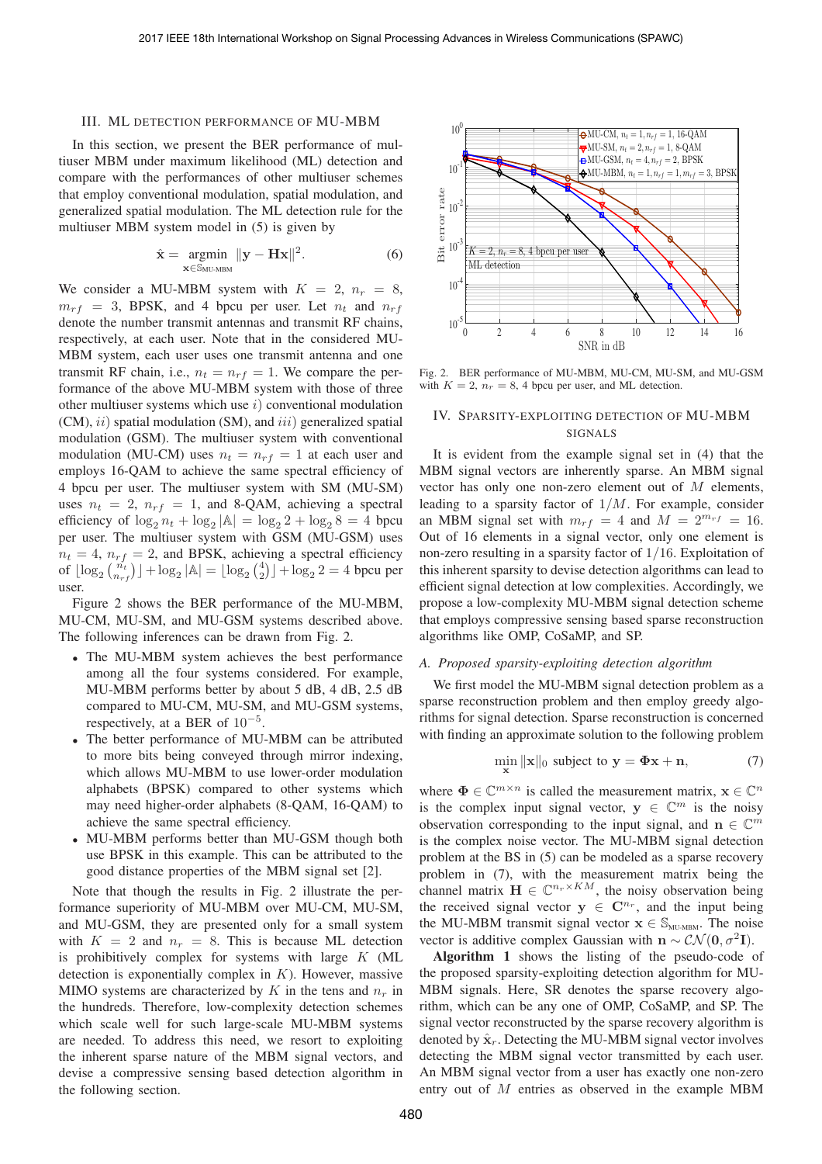#### III. ML DETECTION PERFORMANCE OF MU-MBM

In this section, we present the BER performance of multiuser MBM under maximum likelihood (ML) detection and compare with the performances of other multiuser schemes that employ conventional modulation, spatial modulation, and generalized spatial modulation. The ML detection rule for the multiuser MBM system model in (5) is given by

$$
\hat{\mathbf{x}} = \underset{\mathbf{x} \in \mathbb{S}_{\text{MU-MBM}}} {\text{argmin}} ||\mathbf{y} - \mathbf{H}\mathbf{x}||^2. \tag{6}
$$

We consider a MU-MBM system with  $K = 2$ ,  $n_r = 8$ ,  $m_{rf}$  = 3, BPSK, and 4 bpcu per user. Let  $n_t$  and  $n_{rf}$ denote the number transmit antennas and transmit RF chains, respectively, at each user. Note that in the considered MU-MBM system, each user uses one transmit antenna and one transmit RF chain, i.e.,  $n_t = n_{rf} = 1$ . We compare the performance of the above MU-MBM system with those of three other multiuser systems which use  $i$ ) conventional modulation  $(CM), ii)$  spatial modulation (SM), and  $iii)$  generalized spatial modulation (GSM). The multiuser system with conventional modulation (MU-CM) uses  $n_t = n_{rf} = 1$  at each user and employs 16-QAM to achieve the same spectral efficiency of 4 bpcu per user. The multiuser system with SM (MU-SM) uses  $n_t = 2$ ,  $n_{rf} = 1$ , and 8-QAM, achieving a spectral efficiency of  $\log_2 n_t + \log_2 |\mathbb{A}| = \log_2 2 + \log_2 8 = 4$  bpcu per user. The multiuser system with GSM (MU-GSM) uses  $n_t = 4$ ,  $n_{rf} = 2$ , and BPSK, achieving a spectral efficiency of  $\lfloor \log_2 \binom{n_t}{n_{rf}} \rfloor + \log_2 |\mathbb{A}| = \lfloor \log_2 \binom{4}{2} \rfloor + \log_2 2 = 4$  bpcu per user.

Figure 2 shows the BER performance of the MU-MBM, MU-CM, MU-SM, and MU-GSM systems described above. The following inferences can be drawn from Fig. 2.

- <sup>∙</sup> The MU-MBM system achieves the best performance among all the four systems considered. For example, MU-MBM performs better by about 5 dB, 4 dB, 2.5 dB compared to MU-CM, MU-SM, and MU-GSM systems, respectively, at a BER of  $10^{-5}$ .
- <sup>∙</sup> The better performance of MU-MBM can be attributed to more bits being conveyed through mirror indexing, which allows MU-MBM to use lower-order modulation alphabets (BPSK) compared to other systems which may need higher-order alphabets (8-QAM, 16-QAM) to achieve the same spectral efficiency.
- <sup>∙</sup> MU-MBM performs better than MU-GSM though both use BPSK in this example. This can be attributed to the good distance properties of the MBM signal set [2].

Note that though the results in Fig. 2 illustrate the performance superiority of MU-MBM over MU-CM, MU-SM, and MU-GSM, they are presented only for a small system with  $K = 2$  and  $n_r = 8$ . This is because ML detection is prohibitively complex for systems with large  $K$  (ML detection is exponentially complex in  $K$ ). However, massive MIMO systems are characterized by  $K$  in the tens and  $n_r$  in the hundreds. Therefore, low-complexity detection schemes which scale well for such large-scale MU-MBM systems are needed. To address this need, we resort to exploiting the inherent sparse nature of the MBM signal vectors, and devise a compressive sensing based detection algorithm in the following section.



Fig. 2. BER performance of MU-MBM, MU-CM, MU-SM, and MU-GSM with  $K = 2$ ,  $n_r = 8$ , 4 bpcu per user, and ML detection.

# IV. SPARSITY-EXPLOITING DETECTION OF MU-MBM SIGNALS

It is evident from the example signal set in (4) that the MBM signal vectors are inherently sparse. An MBM signal vector has only one non-zero element out of  $M$  elements, leading to a sparsity factor of  $1/M$ . For example, consider an MBM signal set with  $m_{rf} = 4$  and  $M = 2^{m_{rf}} = 16$ . Out of 16 elements in a signal vector, only one element is non-zero resulting in a sparsity factor of 1/16. Exploitation of this inherent sparsity to devise detection algorithms can lead to efficient signal detection at low complexities. Accordingly, we propose a low-complexity MU-MBM signal detection scheme that employs compressive sensing based sparse reconstruction algorithms like OMP, CoSaMP, and SP.

# *A. Proposed sparsity-exploiting detection algorithm*

We first model the MU-MBM signal detection problem as a sparse reconstruction problem and then employ greedy algorithms for signal detection. Sparse reconstruction is concerned with finding an approximate solution to the following problem

$$
\min_{\mathbf{x}} \|\mathbf{x}\|_0 \text{ subject to } \mathbf{y} = \mathbf{\Phi}\mathbf{x} + \mathbf{n},\tag{7}
$$

where  $\Phi \in \mathbb{C}^{m \times n}$  is called the measurement matrix,  $\mathbf{x} \in \mathbb{C}^n$ is the complex input signal vector,  $y \in \mathbb{C}^m$  is the noisy observation corresponding to the input signal, and **n**  $\in \mathbb{C}^m$ is the complex noise vector. The MU-MBM signal detection problem at the BS in (5) can be modeled as a sparse recovery problem in (7), with the measurement matrix being the channel matrix  $\mathbf{H} \in \mathbb{C}^{n_r \times KM}$ , the noisy observation being the received signal vector  $y \in \mathbb{C}^{n_r}$ , and the input being the MU-MBM transmit signal vector  $\mathbf{x} \in \mathbb{S}_{\text{MU-MBM}}$ . The noise vector is additive complex Gaussian with **n** ~  $\mathcal{CN}(\mathbf{0}, \sigma^2 \mathbf{I})$ .

**Algorithm 1** shows the listing of the pseudo-code of the proposed sparsity-exploiting detection algorithm for MU-MBM signals. Here, SR denotes the sparse recovery algorithm, which can be any one of OMP, CoSaMP, and SP. The signal vector reconstructed by the sparse recovery algorithm is denoted by  $\hat{\mathbf{x}}_r$ . Detecting the MU-MBM signal vector involves detecting the MBM signal vector transmitted by each user. An MBM signal vector from a user has exactly one non-zero entry out of  $M$  entries as observed in the example MBM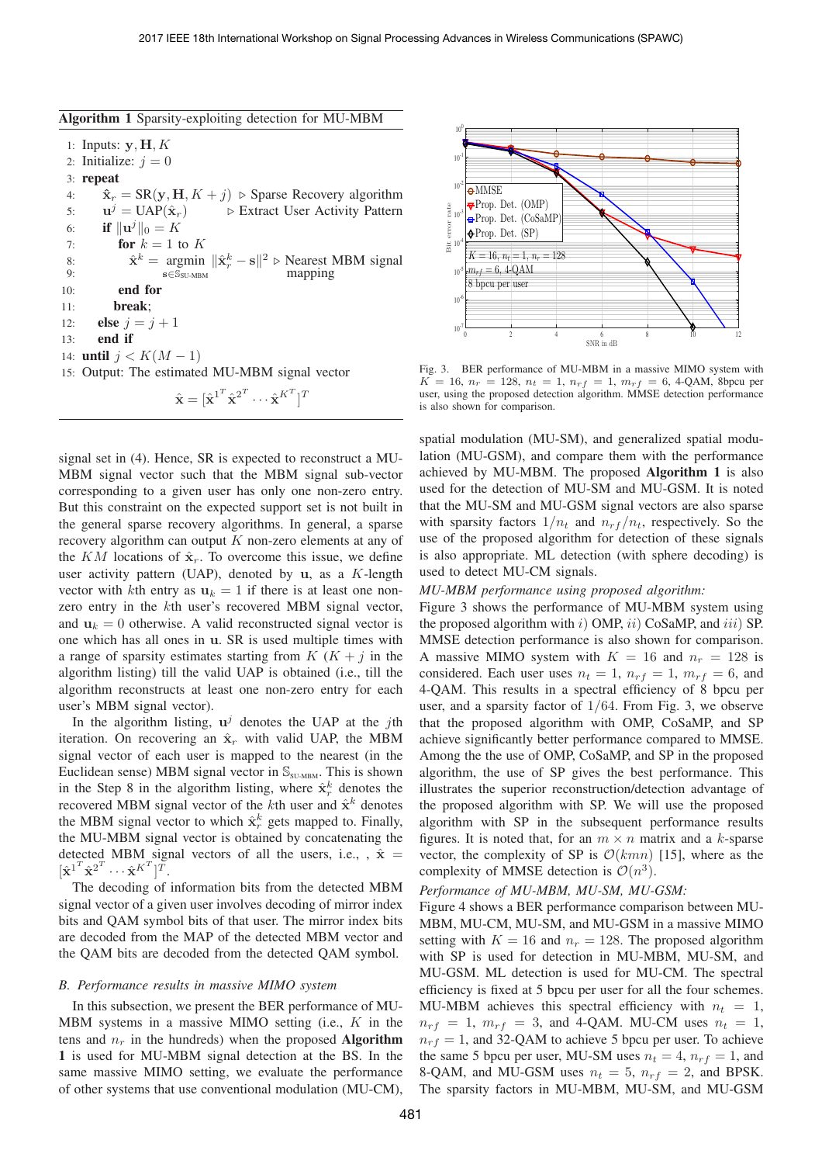| Algorithm 1 Sparsity-exploiting detection for MU-MBM |  |  |  |  |  |  |
|------------------------------------------------------|--|--|--|--|--|--|
|------------------------------------------------------|--|--|--|--|--|--|

1: Inputs:  $y$ ,  $H$ ,  $K$ 2: Initialize:  $i = 0$ 3: **repeat** 4:  $\hat{\mathbf{x}}_r = \text{SR}(\mathbf{y}, \mathbf{H}, K + j)$   $\triangleright$  Sparse Recovery algorithm<br>5:  $\mathbf{u}^j = \text{UAP}(\hat{\mathbf{x}}_r)$   $\triangleright$  Extract User Activity Pattern 5:  $\mathbf{u}^j = \text{UAP}(\hat{\mathbf{x}}_r)$   $\triangleright$  Extract User Activity Pattern 6: **if**  $\|\mathbf{u}^j\|_0 = K$ 7: **for**  $k = 1$  to  $K$ 8:  $\hat{\mathbf{x}}^k = \underset{\mathbf{s} \in \mathbb{S}_{\text{SU-MBM}}}{\text{argmin}} ||\hat{\mathbf{x}}_r^k - \mathbf{s}||^2 \triangleright \underset{\text{mapping}}{\text{Nearest MBM signal}}$  $\mathbf{s} \mathsf{∈} \bar{\mathbb{S}}_{\text{SU-MBM}}$ 10: **end for** 11: **break**; 12: **else**  $j = j + 1$ 13: **end if** 14: **until**  $j < K(M - 1)$ 15: Output: The estimated MU-MBM signal vector  $\hat{\mathbf{x}} = [\hat{\mathbf{x}}^{1^T} \hat{\mathbf{x}}^{2^T} \cdots \hat{\mathbf{x}}^{K^T}]^T$ 

signal set in (4). Hence, SR is expected to reconstruct a MU-MBM signal vector such that the MBM signal sub-vector corresponding to a given user has only one non-zero entry. But this constraint on the expected support set is not built in the general sparse recovery algorithms. In general, a sparse recovery algorithm can output  $K$  non-zero elements at any of the  $KM$  locations of  $\hat{\mathbf{x}}_r$ . To overcome this issue, we define user activity pattern (UAP), denoted by  $\bf{u}$ , as a  $K$ -length vector with kth entry as  $u_k = 1$  if there is at least one nonzero entry in the  $k$ th user's recovered MBM signal vector, and  $\mathbf{u}_k = 0$  otherwise. A valid reconstructed signal vector is one which has all ones in **u**. SR is used multiple times with a range of sparsity estimates starting from  $K$   $(K + j)$  in the algorithm listing) till the valid UAP is obtained (i.e., till the algorithm reconstructs at least one non-zero entry for each user's MBM signal vector).

In the algorithm listing,  $\mathbf{u}^j$  denotes the UAP at the jth iteration. On recovering an  $\hat{\mathbf{x}}_r$  with valid UAP, the MBM signal vector of each user is mapped to the nearest (in the Euclidean sense) MBM signal vector in  $\mathbb{S}_{\text{SU-MBM}}$ . This is shown in the Step 8 in the algorithm listing, where  $\hat{\mathbf{x}}_r^k$  denotes the recovered MBM signal vector of the  $k$ th user and  $\hat{\mathbf{x}}^k$  denotes the MBM signal vector to which  $\hat{\mathbf{x}}_r^k$  gets mapped to. Finally, the MU-MBM signal vector is obtained by concatenating the detected MBM signal vectors of all the users, i.e., ,  $\hat{x}$  =  $[\hat{\textbf{x}}^{1^T} \hat{\textbf{x}}^{2^T} \cdots \hat{\textbf{x}}^{K^T}]^T$ .

The decoding of information bits from the detected MBM signal vector of a given user involves decoding of mirror index bits and QAM symbol bits of that user. The mirror index bits are decoded from the MAP of the detected MBM vector and the QAM bits are decoded from the detected QAM symbol.

## *B. Performance results in massive MIMO system*

In this subsection, we present the BER performance of MU-MBM systems in a massive MIMO setting (i.e.,  $K$  in the tens and  $n_r$  in the hundreds) when the proposed **Algorithm 1** is used for MU-MBM signal detection at the BS. In the same massive MIMO setting, we evaluate the performance of other systems that use conventional modulation (MU-CM),



Fig. 3. BER performance of MU-MBM in a massive MIMO system with  $K = 16$ ,  $n_r = 128$ ,  $n_t = 1$ ,  $n_{rf} = 1$ ,  $m_{rf} = 6$ , 4-QAM, 8bpcu per user, using the proposed detection algorithm. MMSE detection performance is also shown for comparison.

spatial modulation (MU-SM), and generalized spatial modulation (MU-GSM), and compare them with the performance achieved by MU-MBM. The proposed **Algorithm 1** is also used for the detection of MU-SM and MU-GSM. It is noted that the MU-SM and MU-GSM signal vectors are also sparse with sparsity factors  $1/n_t$  and  $n_{rf}/n_t$ , respectively. So the use of the proposed algorithm for detection of these signals is also appropriate. ML detection (with sphere decoding) is used to detect MU-CM signals.

## *MU-MBM performance using proposed algorithm:*

Figure 3 shows the performance of MU-MBM system using the proposed algorithm with  $i$ ) OMP,  $ii$ ) CoSaMP, and  $iii$ ) SP. MMSE detection performance is also shown for comparison. A massive MIMO system with  $K = 16$  and  $n_r = 128$  is considered. Each user uses  $n_t = 1$ ,  $n_{rf} = 1$ ,  $m_{rf} = 6$ , and 4-QAM. This results in a spectral efficiency of 8 bpcu per user, and a sparsity factor of  $1/64$ . From Fig. 3, we observe that the proposed algorithm with OMP, CoSaMP, and SP achieve significantly better performance compared to MMSE. Among the the use of OMP, CoSaMP, and SP in the proposed algorithm, the use of SP gives the best performance. This illustrates the superior reconstruction/detection advantage of the proposed algorithm with SP. We will use the proposed algorithm with SP in the subsequent performance results figures. It is noted that, for an  $m \times n$  matrix and a k-sparse vector, the complexity of SP is  $\mathcal{O}(kmn)$  [15], where as the complexity of MMSE detection is  $\mathcal{O}(n^3)$ .

# *Performance of MU-MBM, MU-SM, MU-GSM:*

Figure 4 shows a BER performance comparison between MU-MBM, MU-CM, MU-SM, and MU-GSM in a massive MIMO setting with  $K = 16$  and  $n_r = 128$ . The proposed algorithm with SP is used for detection in MU-MBM, MU-SM, and MU-GSM. ML detection is used for MU-CM. The spectral efficiency is fixed at 5 bpcu per user for all the four schemes. MU-MBM achieves this spectral efficiency with  $n_t = 1$ ,  $n_{rf} = 1$ ,  $m_{rf} = 3$ , and 4-QAM. MU-CM uses  $n_t = 1$ ,  $n_{rf} = 1$ , and 32-QAM to achieve 5 bpcu per user. To achieve the same 5 bpcu per user, MU-SM uses  $n_t = 4$ ,  $n_{rf} = 1$ , and 8-QAM, and MU-GSM uses  $n_t = 5$ ,  $n_{rf} = 2$ , and BPSK. The sparsity factors in MU-MBM, MU-SM, and MU-GSM